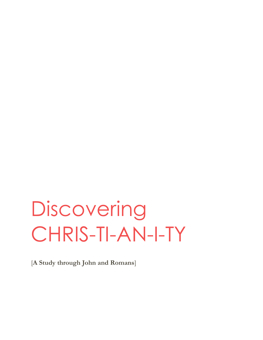# **Discovering** CHRIS-TI-AN-I-TY

[**A Study through John and Romans**]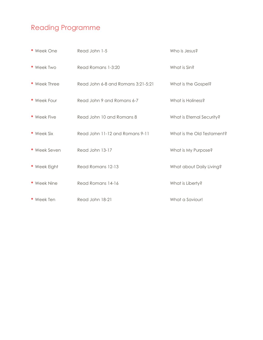### Reading Programme

| • Week One   | Read John 1-5                      | Who is Jesus?              |
|--------------|------------------------------------|----------------------------|
| • Week Two   | Read Romans 1-3:20                 | What is Sin?               |
| • Week Three | Read John 6-8 and Romans 3:21-5:21 | What is the Gospel?        |
| • Week Four  | Read John 9 and Romans 6-7         | What is Holiness?          |
| • Week Five  | Read John 10 and Romans 8          | What is Eternal Security?  |
| • Week Six   | Read John 11-12 and Romans 9-11    | What is the Old Testament? |
| • Week Seven | Read John 13-17                    | What is My Purpose?        |
| • Week Eight | Read Romans 12-13                  | What about Daily Living?   |
| • Week Nine  | Read Romans 14-16                  | What is Liberty?           |
| • Week Ten   | Read John 18-21                    | What a Saviour!            |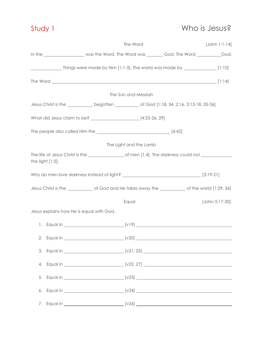### Study 1 Who is Jesus?

|                                          |                                                                                                        | The Word               | $[John 1:1-14]$ |
|------------------------------------------|--------------------------------------------------------------------------------------------------------|------------------------|-----------------|
|                                          | In the ___________________was the Word. The Word was ________God. The Word __________God.              |                        |                 |
|                                          | Things were made by Him [1:1-3]. The world was made by __________________________ [1:10]               |                        |                 |
|                                          |                                                                                                        |                        |                 |
|                                          |                                                                                                        | The Son and Messiah    |                 |
|                                          | Jesus Christ is the _______________begotten ___________________of God [1:18, 34, 2:16, 3:13-18, 35-36] |                        |                 |
|                                          | What did Jesus claim to be? _______________________ [4:25-26, 29]                                      |                        |                 |
|                                          |                                                                                                        |                        |                 |
|                                          |                                                                                                        | The Light and the Lamb |                 |
| the light $[1:5]$ .                      |                                                                                                        |                        |                 |
|                                          |                                                                                                        |                        |                 |
|                                          |                                                                                                        |                        |                 |
|                                          |                                                                                                        | Equal                  | [John 5:17-30]  |
| Jesus explains how He is equal with God. |                                                                                                        |                        |                 |
|                                          |                                                                                                        |                        |                 |
|                                          |                                                                                                        |                        |                 |
| 3.                                       |                                                                                                        |                        |                 |
|                                          |                                                                                                        |                        |                 |
| 5.                                       |                                                                                                        |                        |                 |
|                                          |                                                                                                        |                        |                 |
|                                          |                                                                                                        |                        |                 |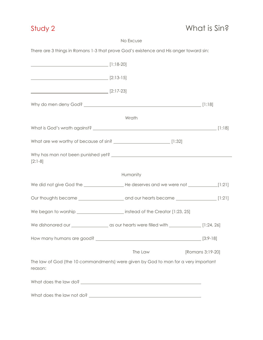### No Excuse

There are 3 things in Romans 1-3 that prove God's existence and His anger toward sin:

| $\sim$ [2:13-15] |                                                                                    |  |
|------------------|------------------------------------------------------------------------------------|--|
| $[2:17-23]$      |                                                                                    |  |
|                  |                                                                                    |  |
|                  | Wrath                                                                              |  |
|                  |                                                                                    |  |
|                  |                                                                                    |  |
| $[2:1-8]$        |                                                                                    |  |
|                  | Humanity                                                                           |  |
|                  |                                                                                    |  |
|                  |                                                                                    |  |
|                  | We began to worship ________________________ instead of the Creator [1:23, 25]     |  |
|                  |                                                                                    |  |
|                  |                                                                                    |  |
|                  | The Law [Romans 3:19-20]                                                           |  |
| reason:          | The law of God (the 10 commandments) were given by God to man for a very important |  |
|                  |                                                                                    |  |
|                  |                                                                                    |  |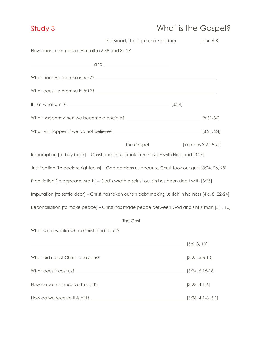# Study 3 What is the Gospel?

|                                                  | The Bread, The Light and Freedom                                                                       | [John 6-8]         |
|--------------------------------------------------|--------------------------------------------------------------------------------------------------------|--------------------|
| How does Jesus picture Himself in 6:48 and 8:12? |                                                                                                        |                    |
|                                                  |                                                                                                        |                    |
|                                                  |                                                                                                        |                    |
|                                                  |                                                                                                        |                    |
|                                                  |                                                                                                        |                    |
|                                                  |                                                                                                        |                    |
|                                                  |                                                                                                        |                    |
|                                                  | The Gospel                                                                                             | [Romans 3:21-5:21] |
|                                                  | Redemption [to buy back] - Christ bought us back from slavery with His blood [3:24]                    |                    |
|                                                  | Justification [to declare righteous] - God pardons us because Christ took our guilt [3:24, 26, 28]     |                    |
|                                                  | Propitiation [to appease wrath] - God's wrath against our sin has been dealt with [3:25]               |                    |
|                                                  | Imputation [to settle debt] - Christ has taken our sin debt making us rich in holiness [4:6, 8, 22-24] |                    |
|                                                  | Reconciliation [to make peace] - Christ has made peace between God and sinful man [5:1, 10]            |                    |
|                                                  | The Cost                                                                                               |                    |
| What were we like when Christ died for us?       |                                                                                                        |                    |
|                                                  | $\frac{1}{2}$ [5:6, 8, 10]                                                                             |                    |
|                                                  |                                                                                                        |                    |
|                                                  |                                                                                                        |                    |
|                                                  |                                                                                                        |                    |
|                                                  |                                                                                                        |                    |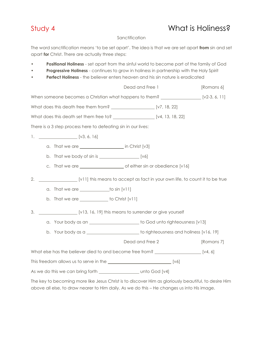### Study 4 What is Holiness?

### **Sanctification**

The word sanctification means 'to be set apart'. The idea is that we are set apart **from** sin and set apart **for** Christ. There are actually three steps:

- **Positional Holiness** set apart from the sinful world to become part of the family of God
- **Progressive Holiness** continues to grow in holiness in partnership with the Holy Spirit
- **Perfect Holiness** the believer enters heaven and his sin nature is eradicated

|    |                                                                                                                                                                                                    | Dead and Free 1 | [Romans 6] |
|----|----------------------------------------------------------------------------------------------------------------------------------------------------------------------------------------------------|-----------------|------------|
|    | When someone becomes a Christian what happens to them? _______________________ [v2-3, 6, 11]                                                                                                       |                 |            |
|    |                                                                                                                                                                                                    |                 |            |
|    | What does this death set them free to? ________________________ [v4, 13, 18, 22]                                                                                                                   |                 |            |
|    | There is a 3 step process here to defeating sin in our lives:                                                                                                                                      |                 |            |
|    | 1. $[V3, 6, 16]$                                                                                                                                                                                   |                 |            |
|    | a. That we are ________________________ in Christ [v3]                                                                                                                                             |                 |            |
|    | b. That we body of $sin is$ $[v6]$                                                                                                                                                                 |                 |            |
|    |                                                                                                                                                                                                    |                 |            |
| 2. | [v11] this means to accept as fact in your own life, to count it to be true                                                                                                                        |                 |            |
|    | a. That we are $\_\_\_\_\_\_\_\_\$ to sin [v11]                                                                                                                                                    |                 |            |
|    | b. That we are $\_\_\_\_\_\_\_\$ to Christ [v11]                                                                                                                                                   |                 |            |
| 3. | [v13, 16, 19] this means to surrender or give yourself                                                                                                                                             |                 |            |
|    | a. Your body as an ______________________ to God unto righteousness [v13]                                                                                                                          |                 |            |
|    | b. Your body as a ________________________to righteousness and holiness [v16, 19]                                                                                                                  |                 |            |
|    |                                                                                                                                                                                                    | Dead and Free 2 | [Romans 7] |
|    | What else has the believer died to and become free from? ________________________ [v4, 6]                                                                                                          |                 |            |
|    |                                                                                                                                                                                                    |                 |            |
|    |                                                                                                                                                                                                    |                 |            |
|    | The key to becoming more like Jesus Christ is to discover Him as gloriously beautiful, to desire Him<br>above all else, to draw nearer to Him daily. As we do this - He changes us into His image. |                 |            |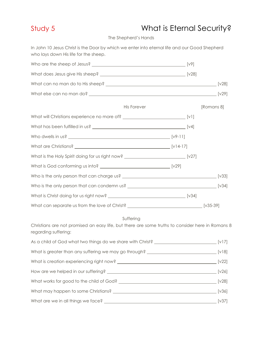### Study 5 What is Eternal Security?

The Shepherd's Hands

In John 10 Jesus Christ is the Door by which we enter into eternal life and our Good Shepherd who lays down His life for the sheep.

| His Forever                                                                                                                           | [Romans 8] |
|---------------------------------------------------------------------------------------------------------------------------------------|------------|
|                                                                                                                                       |            |
|                                                                                                                                       |            |
|                                                                                                                                       |            |
|                                                                                                                                       |            |
| What is the Holy Spirit doing for us right now? ________________________________[v27]                                                 |            |
|                                                                                                                                       |            |
|                                                                                                                                       |            |
|                                                                                                                                       |            |
|                                                                                                                                       |            |
| What can separate us from the love of Christ? ___________________________________ [v35-39]                                            |            |
| Suffering<br>Christians are not promised an easy life, but there are some truths to consider here in Romans 8<br>regarding suffering: |            |
|                                                                                                                                       |            |
|                                                                                                                                       |            |
|                                                                                                                                       |            |
|                                                                                                                                       |            |
|                                                                                                                                       |            |
|                                                                                                                                       |            |
|                                                                                                                                       |            |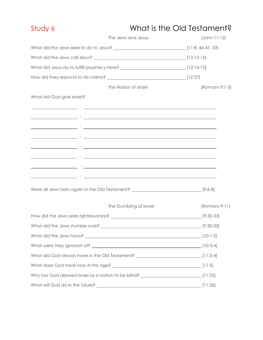| Study 6                              | What is the Old Testament?                                                                                               |                |  |
|--------------------------------------|--------------------------------------------------------------------------------------------------------------------------|----------------|--|
|                                      | The Jews and Jesus                                                                                                       | [John 11-12]   |  |
|                                      |                                                                                                                          |                |  |
|                                      |                                                                                                                          |                |  |
|                                      | What did Jesus do to fulfill prophecy here? __________________________________[12:14-15]                                 |                |  |
|                                      |                                                                                                                          |                |  |
|                                      | The Nation of Israel                                                                                                     | [Romans 9:1-5] |  |
| What did God give Israel?            |                                                                                                                          |                |  |
|                                      | <u> 2000 - Andrea Andrea (h. 2001).</u><br>Andrea Andrea Andrea Andrea (h. 2001).                                        |                |  |
|                                      |                                                                                                                          |                |  |
|                                      | <u> 2002 - Jan James James Jan James James James James James James James James James James James James James Jam</u>     |                |  |
|                                      | <u> 1990 - Jan James James (f. 1900).</u> Hermitik eta eta batean eta batean eta batean eta batean eta batean eta batean |                |  |
|                                      |                                                                                                                          |                |  |
|                                      | <u> 1999 - Jan James James James James James James James James James James James James James James James James J</u>     |                |  |
|                                      | <u> 1990 - Jan James James James James James James James James James James James James James James James James J</u>     |                |  |
|                                      | <u> 1989 - Andrea Santa Carlos II, ann an t-Iomraidh ann an t-Iomraidh ann an t-Iomraidh ann an t-Iomraidh ann an</u>    |                |  |
|                                      | Were all Jews born again in the Old Testament? _________________________________[9:6-8]                                  |                |  |
|                                      | The Stumbling of Israel                                                                                                  | [Romans 9-11]  |  |
| How did the Jews seek righteousness? |                                                                                                                          | $[9:30-33]$    |  |
|                                      |                                                                                                                          |                |  |
|                                      |                                                                                                                          |                |  |
|                                      |                                                                                                                          |                |  |
|                                      | What did God always have in the Old Testament? ________________________________[11:3-4]                                  |                |  |
|                                      |                                                                                                                          |                |  |
|                                      | Why has God allowed Israel as a nation to be blind? _____________________________ [11:25]                                |                |  |
| What will God do in the future?      |                                                                                                                          |                |  |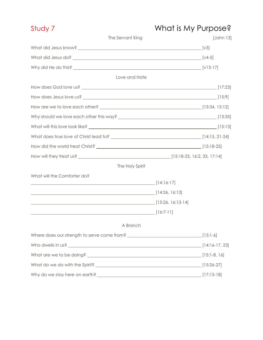### Study 7 What is My Purpose?

| The Servant King                    | [John 13] |
|-------------------------------------|-----------|
|                                     |           |
|                                     |           |
|                                     |           |
| Love and Hate                       |           |
|                                     |           |
|                                     |           |
|                                     |           |
|                                     |           |
|                                     |           |
|                                     |           |
|                                     |           |
|                                     |           |
| The Holy Spirit                     |           |
| What will the Comforter do?         |           |
|                                     |           |
| [14:26, 16:13] [14:26, 16:13]       |           |
| [15:26. 16:13-14] [15:26. 16:13-14] |           |
| <u>[16:7-11]</u> [16:7-11]          |           |
| A Branch                            |           |
|                                     |           |
|                                     |           |
|                                     |           |
|                                     |           |
|                                     |           |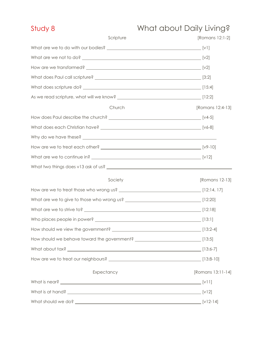# Study 8 What about Daily Living?

| Scripture                                                                           | [Romans 12:1-2]   |
|-------------------------------------------------------------------------------------|-------------------|
|                                                                                     |                   |
|                                                                                     |                   |
|                                                                                     |                   |
|                                                                                     |                   |
|                                                                                     |                   |
|                                                                                     |                   |
| Church                                                                              | [Romans 12:4-13]  |
|                                                                                     |                   |
|                                                                                     |                   |
|                                                                                     |                   |
| How are we to treat each other? [v9-10]                                             |                   |
|                                                                                     |                   |
|                                                                                     |                   |
| Society                                                                             | [Romans 12-13]    |
|                                                                                     |                   |
|                                                                                     |                   |
|                                                                                     |                   |
|                                                                                     |                   |
|                                                                                     |                   |
| How should we behave toward the government? _________________________________[13:5] |                   |
|                                                                                     |                   |
|                                                                                     |                   |
| Expectancy                                                                          | [Romans 13:11-14] |
|                                                                                     |                   |
|                                                                                     |                   |
| What should we do?                                                                  | $[v12-14]$        |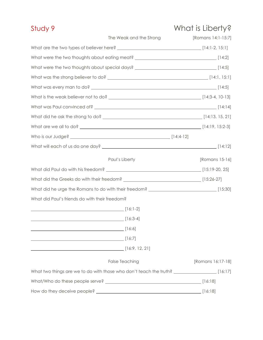| Study 9                                                                                         |                         | What is Liberty?   |
|-------------------------------------------------------------------------------------------------|-------------------------|--------------------|
|                                                                                                 | The Weak and the Strong | [Romans 14:1-15:7] |
|                                                                                                 |                         |                    |
| What were the two thoughts about eating meat? __________________________________[14:2]          |                         |                    |
| What were the two thoughts about special days? __________________________________[14:5]         |                         |                    |
|                                                                                                 |                         |                    |
|                                                                                                 |                         |                    |
|                                                                                                 |                         |                    |
|                                                                                                 |                         |                    |
|                                                                                                 |                         |                    |
|                                                                                                 |                         |                    |
|                                                                                                 |                         |                    |
|                                                                                                 |                         |                    |
|                                                                                                 | Paul's Liberty          | [Romans 15-16]     |
|                                                                                                 |                         |                    |
|                                                                                                 |                         |                    |
| What did he urge the Romans to do with their freedom? __________________________________[15:30] |                         |                    |
| What did Paul's friends do with their freedom?                                                  |                         |                    |
|                                                                                                 |                         |                    |
|                                                                                                 |                         |                    |
| $\overline{\phantom{a}}$ [16:6]                                                                 |                         |                    |
| $\overline{\hspace{1cm}}$ [16:7]                                                                |                         |                    |
| [16:9, 12, 21]                                                                                  |                         |                    |
|                                                                                                 | <b>False Teaching</b>   | [Romans 16:17-18]  |
|                                                                                                 |                         |                    |
|                                                                                                 |                         |                    |
|                                                                                                 |                         | [16:18]            |